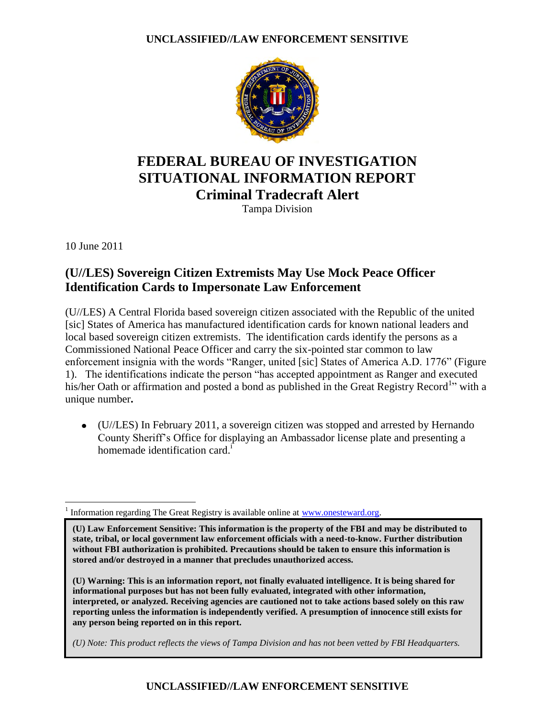

# **FEDERAL BUREAU OF INVESTIGATION SITUATIONAL INFORMATION REPORT Criminal Tradecraft Alert**

Tampa Division

10 June 2011

## **(U//LES) Sovereign Citizen Extremists May Use Mock Peace Officer Identification Cards to Impersonate Law Enforcement**

(U//LES) A Central Florida based sovereign citizen associated with the Republic of the united [sic] States of America has manufactured identification cards for known national leaders and local based sovereign citizen extremists. The identification cards identify the persons as a Commissioned National Peace Officer and carry the six-pointed star common to law enforcement insignia with the words "Ranger, united [sic] States of America A.D. 1776" (Figure 1). The identifications indicate the person "has accepted appointment as Ranger and executed his/her Oath or affirmation and posted a bond as published in the Great Registry Record<sup>1</sup><sup>1</sup> with a unique number**.**

(U//LES) In February 2011, a sovereign citizen was stopped and arrested by Hernando County Sheriff's Office for displaying an Ambassador license plate and presenting a homemade identification card.<sup>i</sup>

 $\overline{a}$ 1 Information regarding The Great Registry is available online at [www.onesteward.org.](http://www.onesteward.org/)

**(U) Law Enforcement Sensitive: This information is the property of the FBI and may be distributed to state, tribal, or local government law enforcement officials with a need-to-know. Further distribution without FBI authorization is prohibited. Precautions should be taken to ensure this information is stored and/or destroyed in a manner that precludes unauthorized access.** 

**(U) Warning: This is an information report, not finally evaluated intelligence. It is being shared for informational purposes but has not been fully evaluated, integrated with other information, interpreted, or analyzed. Receiving agencies are cautioned not to take actions based solely on this raw reporting unless the information is independently verified. A presumption of innocence still exists for any person being reported on in this report.** 

*(U) Note: This product reflects the views of Tampa Division and has not been vetted by FBI Headquarters.* 

### **UNCLASSIFIED//LAW ENFORCEMENT SENSITIVE**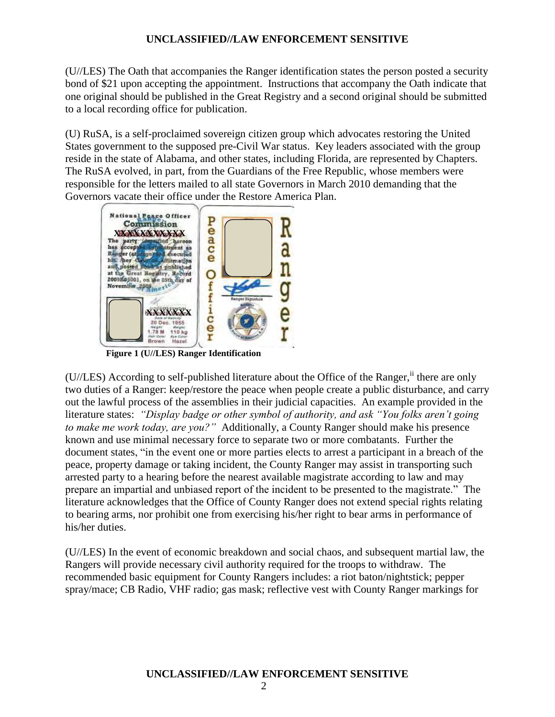#### **UNCLASSIFIED//LAW ENFORCEMENT SENSITIVE**

(U//LES) The Oath that accompanies the Ranger identification states the person posted a security bond of \$21 upon accepting the appointment. Instructions that accompany the Oath indicate that one original should be published in the Great Registry and a second original should be submitted to a local recording office for publication.

(U) RuSA, is a self-proclaimed sovereign citizen group which advocates restoring the United States government to the supposed pre-Civil War status. Key leaders associated with the group reside in the state of Alabama, and other states, including Florida, are represented by Chapters. The RuSA evolved, in part, from the Guardians of the Free Republic, whose members were responsible for the letters mailed to all state Governors in March 2010 demanding that the Governors vacate their office under the Restore America Plan.



 **Figure 1 (U//LES) Ranger Identification**

(U//LES) According to self-published literature about the Office of the Ranger,  $\ddot{h}$  there are only two duties of a Ranger: keep/restore the peace when people create a public disturbance, and carry out the lawful process of the assemblies in their judicial capacities. An example provided in the literature states: *"Display badge or other symbol of authority, and ask "You folks aren't going to make me work today, are you?"* Additionally, a County Ranger should make his presence known and use minimal necessary force to separate two or more combatants. Further the document states, "in the event one or more parties elects to arrest a participant in a breach of the peace, property damage or taking incident, the County Ranger may assist in transporting such arrested party to a hearing before the nearest available magistrate according to law and may prepare an impartial and unbiased report of the incident to be presented to the magistrate." The literature acknowledges that the Office of County Ranger does not extend special rights relating to bearing arms, nor prohibit one from exercising his/her right to bear arms in performance of his/her duties.

(U//LES) In the event of economic breakdown and social chaos, and subsequent martial law, the Rangers will provide necessary civil authority required for the troops to withdraw. The recommended basic equipment for County Rangers includes: a riot baton/nightstick; pepper spray/mace; CB Radio, VHF radio; gas mask; reflective vest with County Ranger markings for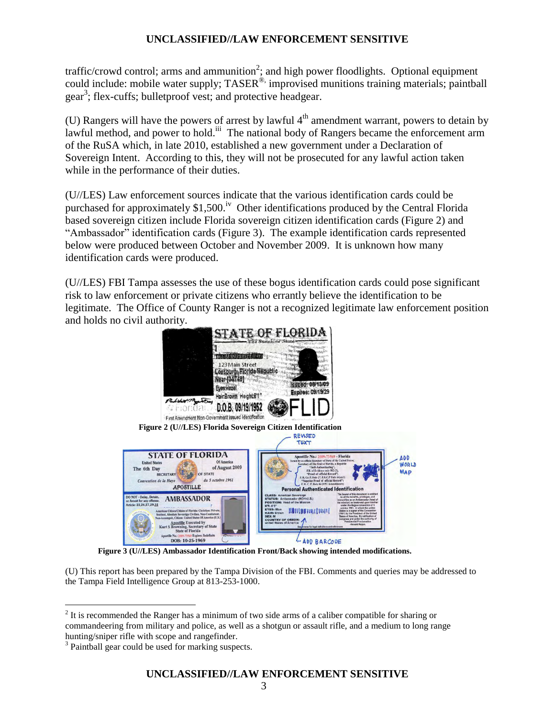#### **UNCLASSIFIED//LAW ENFORCEMENT SENSITIVE**

traffic/crowd control; arms and ammunition<sup>2</sup>; and high power floodlights. Optional equipment could include: mobile water supply; TASER<sup>®,</sup> improvised munitions training materials; paintball gear<sup>3</sup>; flex-cuffs; bulletproof vest; and protective headgear.

(U) Rangers will have the powers of arrest by lawful  $4<sup>th</sup>$  amendment warrant, powers to detain by lawful method, and power to hold.<sup>iii</sup> The national body of Rangers became the enforcement arm of the RuSA which, in late 2010, established a new government under a Declaration of Sovereign Intent. According to this, they will not be prosecuted for any lawful action taken while in the performance of their duties.

(U//LES) Law enforcement sources indicate that the various identification cards could be purchased for approximately  $$1,500$ .<sup>iv</sup> Other identifications produced by the Central Florida based sovereign citizen include Florida sovereign citizen identification cards (Figure 2) and "Ambassador" identification cards (Figure 3). The example identification cards represented below were produced between October and November 2009. It is unknown how many identification cards were produced.

(U//LES) FBI Tampa assesses the use of these bogus identification cards could pose significant risk to law enforcement or private citizens who errantly believe the identification to be legitimate. The Office of County Ranger is not a recognized legitimate law enforcement position and holds no civil authority.



 **Figure 3 (U//LES) Ambassador Identification Front/Back showing intended modifications.**

(U) This report has been prepared by the Tampa Division of the FBI. Comments and queries may be addressed to the Tampa Field Intelligence Group at 813-253-1000.

 $\overline{a}$ 

 $2<sup>2</sup>$  It is recommended the Ranger has a minimum of two side arms of a caliber compatible for sharing or commandeering from military and police, as well as a shotgun or assault rifle, and a medium to long range hunting/sniper rifle with scope and rangefinder.

<sup>&</sup>lt;sup>3</sup> Paintball gear could be used for marking suspects.